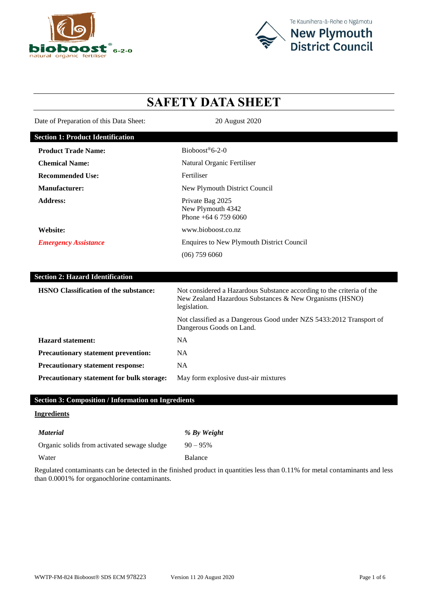



# **SAFETY DATA SHEET**

Date of Preparation of this Data Sheet: 20 August 2020

| <b>Section 1: Product Identification</b>     |                                                                                                                                                  |
|----------------------------------------------|--------------------------------------------------------------------------------------------------------------------------------------------------|
| <b>Product Trade Name:</b>                   | Bioboost®6-2-0                                                                                                                                   |
| <b>Chemical Name:</b>                        | Natural Organic Fertiliser                                                                                                                       |
| <b>Recommended Use:</b>                      | Fertiliser                                                                                                                                       |
| <b>Manufacturer:</b>                         | New Plymouth District Council                                                                                                                    |
| <b>Address:</b>                              | Private Bag 2025<br>New Plymouth 4342<br>Phone +64 6 759 6060                                                                                    |
| Website:                                     | www.bioboost.co.nz                                                                                                                               |
| <b>Emergency Assistance</b>                  | <b>Enquires to New Plymouth District Council</b>                                                                                                 |
|                                              | $(06)$ 759 6060                                                                                                                                  |
|                                              |                                                                                                                                                  |
| <b>Section 2: Hazard Identification</b>      |                                                                                                                                                  |
| <b>HSNO</b> Classification of the substance: | Not considered a Hazardous Substance according to the criteria of the<br>New Zealand Hazardous Substances & New Organisms (HSNO)<br>legislation. |
|                                              | Not classified as a Dangerous Good under NZS 5433:2012 Transport of<br>Dangerous Goods on Land.                                                  |
| <b>Hazard statement:</b>                     | <b>NA</b>                                                                                                                                        |
| Precautionary statement prevention:          | <b>NA</b>                                                                                                                                        |
| <b>Precautionary statement response:</b>     | <b>NA</b>                                                                                                                                        |
| Precautionary statement for bulk storage:    | May form explosive dust-air mixtures                                                                                                             |

# **Section 3: Composition / Information on Ingredients**

# **Ingredients**

| <i>Material</i>                             | % By Weight |
|---------------------------------------------|-------------|
| Organic solids from activated sewage sludge | $90 - 95\%$ |
| Water                                       | Balance     |

Regulated contaminants can be detected in the finished product in quantities less than 0.11% for metal contaminants and less than 0.0001% for organochlorine contaminants.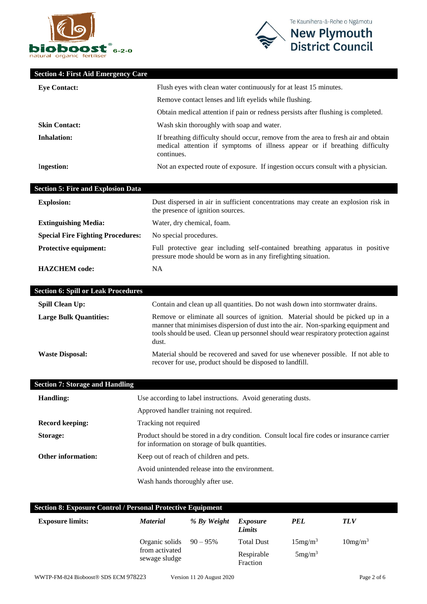



# **Section 4: First Aid Emergency Care**

| <b>Eve Contact:</b>  | Flush eyes with clean water continuously for at least 15 minutes.                                                                                                              |  |
|----------------------|--------------------------------------------------------------------------------------------------------------------------------------------------------------------------------|--|
|                      | Remove contact lenses and lift eyelids while flushing.                                                                                                                         |  |
|                      | Obtain medical attention if pain or redness persists after flushing is completed.                                                                                              |  |
| <b>Skin Contact:</b> | Wash skin thoroughly with soap and water.                                                                                                                                      |  |
| <b>Inhalation:</b>   | If breathing difficulty should occur, remove from the area to fresh air and obtain<br>medical attention if symptoms of illness appear or if breathing difficulty<br>continues. |  |
| Ingestion:           | Not an expected route of exposure. If ingestion occurs consult with a physician.                                                                                               |  |

| <b>Section 5: Fire and Explosion Data</b> |                                                                                                                                                 |
|-------------------------------------------|-------------------------------------------------------------------------------------------------------------------------------------------------|
| <b>Explosion:</b>                         | Dust dispersed in air in sufficient concentrations may create an explosion risk in<br>the presence of ignition sources.                         |
| <b>Extinguishing Media:</b>               | Water, dry chemical, foam.                                                                                                                      |
| <b>Special Fire Fighting Procedures:</b>  | No special procedures.                                                                                                                          |
| <b>Protective equipment:</b>              | Full protective gear including self-contained breathing apparatus in positive<br>pressure mode should be worn as in any firefighting situation. |
| <b>HAZCHEM</b> code:                      | NA                                                                                                                                              |

| <b>Section 6: Spill or Leak Procedures</b> |                                                                                                                                                                                                                                                                     |
|--------------------------------------------|---------------------------------------------------------------------------------------------------------------------------------------------------------------------------------------------------------------------------------------------------------------------|
| <b>Spill Clean Up:</b>                     | Contain and clean up all quantities. Do not wash down into stormwater drains.                                                                                                                                                                                       |
| <b>Large Bulk Quantities:</b>              | Remove or eliminate all sources of ignition. Material should be picked up in a<br>manner that minimises dispersion of dust into the air. Non-sparking equipment and<br>tools should be used. Clean up personnel should wear respiratory protection against<br>dust. |
| <b>Waste Disposal:</b>                     | Material should be recovered and saved for use whenever possible. If not able to<br>recover for use, product should be disposed to landfill.                                                                                                                        |

| <b>Section 7: Storage and Handling</b> |                                                                                                                                              |
|----------------------------------------|----------------------------------------------------------------------------------------------------------------------------------------------|
| <b>Handling:</b>                       | Use according to label instructions. Avoid generating dusts.                                                                                 |
|                                        | Approved handler training not required.                                                                                                      |
| <b>Record keeping:</b>                 | Tracking not required                                                                                                                        |
| Storage:                               | Product should be stored in a dry condition. Consult local fire codes or insurance carrier<br>for information on storage of bulk quantities. |
| <b>Other information:</b>              | Keep out of reach of children and pets.                                                                                                      |
|                                        | Avoid unintended release into the environment.                                                                                               |
|                                        | Wash hands thoroughly after use.                                                                                                             |

| <b>Section 8: Exposure Control / Personal Protective Equipment</b> |                                 |             |                           |                     |                     |
|--------------------------------------------------------------------|---------------------------------|-------------|---------------------------|---------------------|---------------------|
| <b>Exposure limits:</b>                                            | <b>Material</b>                 | % By Weight | <i>Exposure</i><br>Limits | <b>PEL</b>          | <b>TLV</b>          |
|                                                                    | Organic solids                  | $90 - 95\%$ | <b>Total Dust</b>         | 15mg/m <sup>3</sup> | 10mg/m <sup>3</sup> |
|                                                                    | from activated<br>sewage sludge |             | Respirable<br>Fraction    | 5mg/m <sup>3</sup>  |                     |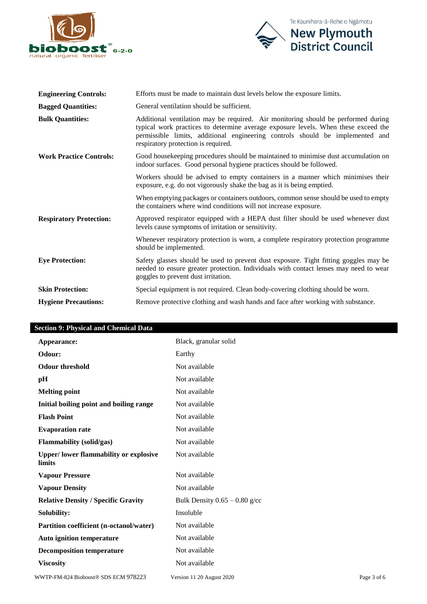



| <b>Engineering Controls:</b>   | Efforts must be made to maintain dust levels below the exposure limits.                                                                                                                                                                                                                         |
|--------------------------------|-------------------------------------------------------------------------------------------------------------------------------------------------------------------------------------------------------------------------------------------------------------------------------------------------|
| <b>Bagged Quantities:</b>      | General ventilation should be sufficient.                                                                                                                                                                                                                                                       |
| <b>Bulk Quantities:</b>        | Additional ventilation may be required. Air monitoring should be performed during<br>typical work practices to determine average exposure levels. When these exceed the<br>permissible limits, additional engineering controls should be implemented and<br>respiratory protection is required. |
| <b>Work Practice Controls:</b> | Good house keeping procedures should be maintained to minimise dust accumulation on<br>indoor surfaces. Good personal hygiene practices should be followed.                                                                                                                                     |
|                                | Workers should be advised to empty containers in a manner which minimises their<br>exposure, e.g. do not vigorously shake the bag as it is being emptied.                                                                                                                                       |
|                                | When emptying packages or containers outdoors, common sense should be used to empty<br>the containers where wind conditions will not increase exposure.                                                                                                                                         |
| <b>Respiratory Protection:</b> | Approved respirator equipped with a HEPA dust filter should be used whenever dust<br>levels cause symptoms of irritation or sensitivity.                                                                                                                                                        |
|                                | Whenever respiratory protection is worn, a complete respiratory protection programme<br>should be implemented.                                                                                                                                                                                  |
| <b>Eye Protection:</b>         | Safety glasses should be used to prevent dust exposure. Tight fitting goggles may be<br>needed to ensure greater protection. Individuals with contact lenses may need to wear<br>goggles to prevent dust irritation.                                                                            |
| <b>Skin Protection:</b>        | Special equipment is not required. Clean body-covering clothing should be worn.                                                                                                                                                                                                                 |
| <b>Hygiene Precautions:</b>    | Remove protective clothing and wash hands and face after working with substance.                                                                                                                                                                                                                |

# **Section 9: Physical and Chemical Data**

| Appearance:                                            | Black, granular solid           |
|--------------------------------------------------------|---------------------------------|
| Odour:                                                 | Earthy                          |
| <b>Odour threshold</b>                                 | Not available                   |
| pH                                                     | Not available                   |
| <b>Melting point</b>                                   | Not available                   |
| Initial boiling point and boiling range                | Not available                   |
| <b>Flash Point</b>                                     | Not available                   |
| <b>Evaporation rate</b>                                | Not available                   |
| <b>Flammability</b> (solid/gas)                        | Not available                   |
| <b>Upper/lower flammability or explosive</b><br>limits | Not available                   |
| <b>Vapour Pressure</b>                                 | Not available                   |
| <b>Vapour Density</b>                                  | Not available                   |
| <b>Relative Density / Specific Gravity</b>             | Bulk Density $0.65 - 0.80$ g/cc |
| Solubility:                                            | Insoluble                       |
| Partition coefficient (n-octanol/water)                | Not available                   |
| <b>Auto ignition temperature</b>                       | Not available                   |
| <b>Decomposition temperature</b>                       | Not available                   |
| <b>Viscosity</b>                                       | Not available                   |
|                                                        |                                 |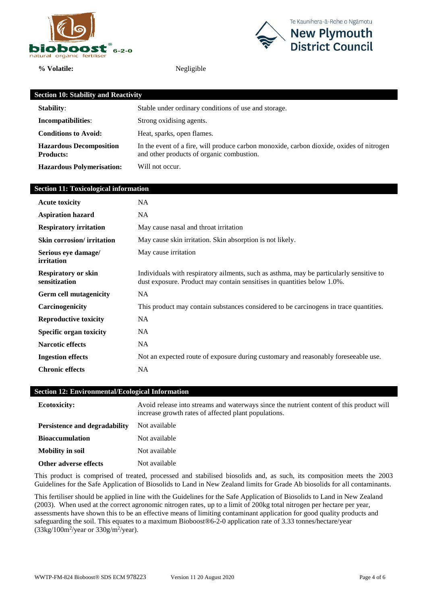

**% Volatile:** Negligible



| <b>Section 10: Stability and Reactivity</b>        |                                                                                                                                       |  |
|----------------------------------------------------|---------------------------------------------------------------------------------------------------------------------------------------|--|
| <b>Stability:</b>                                  | Stable under ordinary conditions of use and storage.                                                                                  |  |
| Incompatibilities:                                 | Strong oxidising agents.                                                                                                              |  |
| <b>Conditions to Avoid:</b>                        | Heat, sparks, open flames.                                                                                                            |  |
| <b>Hazardous Decomposition</b><br><b>Products:</b> | In the event of a fire, will produce carbon monoxide, carbon dioxide, oxides of nitrogen<br>and other products of organic combustion. |  |
| <b>Hazardous Polymerisation:</b>                   | Will not occur.                                                                                                                       |  |

#### **Section 11: Toxicological information**

| <b>Acute toxicity</b>                       | NA                                                                                                                                                                 |
|---------------------------------------------|--------------------------------------------------------------------------------------------------------------------------------------------------------------------|
| <b>Aspiration hazard</b>                    | NA.                                                                                                                                                                |
| <b>Respiratory irritation</b>               | May cause nasal and throat irritation                                                                                                                              |
| <b>Skin corrosion/</b> irritation           | May cause skin irritation. Skin absorption is not likely.                                                                                                          |
| Serious eye damage/<br>irritation           | May cause irritation                                                                                                                                               |
| <b>Respiratory or skin</b><br>sensitization | Individuals with respiratory ailments, such as asthma, may be particularly sensitive to<br>dust exposure. Product may contain sensitises in quantities below 1.0%. |
| <b>Germ cell mutagenicity</b>               | NA.                                                                                                                                                                |
| Carcinogenicity                             | This product may contain substances considered to be carcinogens in trace quantities.                                                                              |
| <b>Reproductive toxicity</b>                | NA.                                                                                                                                                                |
| <b>Specific organ toxicity</b>              | <b>NA</b>                                                                                                                                                          |
| <b>Narcotic effects</b>                     | NA.                                                                                                                                                                |
| <b>Ingestion effects</b>                    | Not an expected route of exposure during customary and reasonably foreseeable use.                                                                                 |
| <b>Chronic effects</b>                      | <b>NA</b>                                                                                                                                                          |

#### **Section 12: Environmental/Ecological Information**

| <b>Ecotoxicity:</b>           | Avoid release into streams and waterways since the nutrient content of this product will<br>increase growth rates of affected plant populations. |
|-------------------------------|--------------------------------------------------------------------------------------------------------------------------------------------------|
| Persistence and degradability | Not available                                                                                                                                    |
| <b>Bioaccumulation</b>        | Not available                                                                                                                                    |
| <b>Mobility in soil</b>       | Not available                                                                                                                                    |
| Other adverse effects         | Not available                                                                                                                                    |

This product is comprised of treated, processed and stabilised biosolids and, as such, its composition meets the 2003 Guidelines for the Safe Application of Biosolids to Land in New Zealand limits for Grade Ab biosolids for all contaminants.

This fertiliser should be applied in line with the Guidelines for the Safe Application of Biosolids to Land in New Zealand (2003). When used at the correct agronomic nitrogen rates, up to a limit of 200kg total nitrogen per hectare per year, assessments have shown this to be an effective means of limiting contaminant application for good quality products and safeguarding the soil. This equates to a maximum Bioboost®6-2-0 application rate of 3.33 tonnes/hectare/year  $(33\text{kg}/100\text{m}^2/\text{year})$  or  $330\text{g}/\text{m}^2/\text{year}$ ).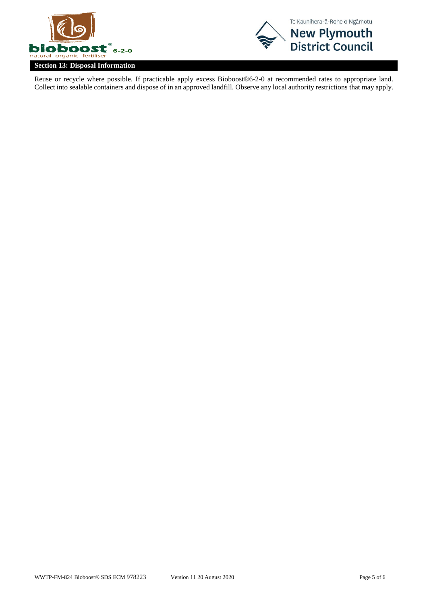



Reuse or recycle where possible. If practicable apply excess Bioboost®6-2-0 at recommended rates to appropriate land. Collect into sealable containers and dispose of in an approved landfill. Observe any local authority restrictions that may apply.